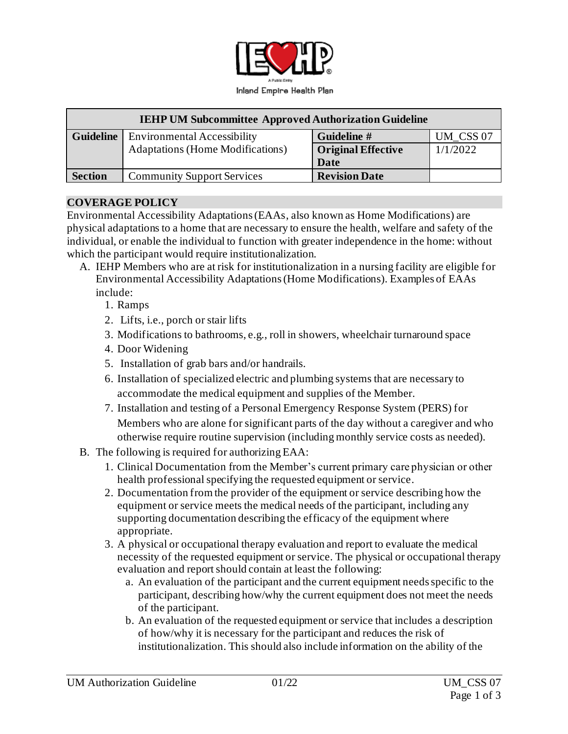

| <b>IEHP UM Subcommittee Approved Authorization Guideline</b> |                                                |                           |           |
|--------------------------------------------------------------|------------------------------------------------|---------------------------|-----------|
|                                                              | <b>Guideline</b>   Environmental Accessibility | Guideline #               | UM_CSS 07 |
|                                                              | <b>Adaptations (Home Modifications)</b>        | <b>Original Effective</b> | 1/1/2022  |
|                                                              |                                                | Date                      |           |
| <b>Section</b>                                               | <b>Community Support Services</b>              | <b>Revision Date</b>      |           |

#### **COVERAGE POLICY**

Environmental Accessibility Adaptations (EAAs, also known as Home Modifications) are physical adaptations to a home that are necessary to ensure the health, welfare and safety of the individual, or enable the individual to function with greater independence in the home: without which the participant would require institutionalization.

- A. IEHP Members who are at risk for institutionalization in a nursing facility are eligible for Environmental Accessibility Adaptations (Home Modifications). Examples of EAAs include:
	- 1. Ramps
	- 2. Lifts, i.e., porch or stair lifts
	- 3. Modifications to bathrooms, e.g., roll in showers, wheelchair turnaround space
	- 4. Door Widening
	- 5. Installation of grab bars and/or handrails.
	- 6. Installation of specialized electric and plumbing systems that are necessary to accommodate the medical equipment and supplies of the Member.
	- 7. Installation and testing of a Personal Emergency Response System (PERS) for Members who are alone for significant parts of the day without a caregiver and who otherwise require routine supervision (including monthly service costs as needed).
- B. The following is required for authorizing EAA:
	- 1. Clinical Documentation from the Member's current primary care physician or other health professional specifying the requested equipment or service.
	- 2. Documentation from the provider of the equipment or service describing how the equipment or service meets the medical needs of the participant, including any supporting documentation describing the efficacy of the equipment where appropriate.
	- 3. A physical or occupational therapy evaluation and report to evaluate the medical necessity of the requested equipment or service. The physical or occupational therapy evaluation and report should contain at least the following:
		- a. An evaluation of the participant and the current equipment needs specific to the participant, describing how/why the current equipment does not meet the needs of the participant.
		- b. An evaluation of the requested equipment or service that includes a description of how/why it is necessary for the participant and reduces the risk of institutionalization. This should also include information on the ability of the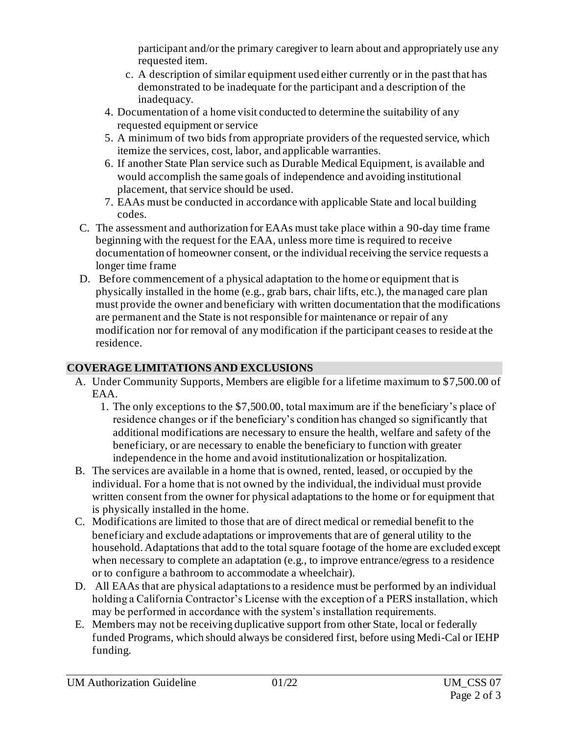participant and/or the primary caregiver to learn about and appropriately use any requested item.

- c. A description of similar equipment used either currently or in the past that has demonstrated to be inadequate for the participant and a description of the inadequacy.
- 4. Documentation of a home visit conducted to determine the suitability of any requested equipment or service
- 5. A minimum of two bids from appropriate providers of the requested service, which itemize the services, cost, labor, and applicable warranties.
- 6. If another State Plan service such as Durable Medical Equipment, is available and would accomplish the same goals of independence and avoiding institutional placement, that service should be used.
- 7. EAAs must be conducted in accordance with applicable State and local building codes.
- C. The assessment and authorization for EAAs must take place within a 90-day time frame beginning with the request for the EAA, unless more time is required to receive documentation of homeowner consent, or the individual receiving the service requests a longer time frame
- D. Before commencement of a physical adaptation to the home or equipment that is physically installed in the home (e.g., grab bars, chair lifts, etc.), the managed care plan must provide the owner and beneficiary with written documentation that the modifications are permanent and the State is not responsible for maintenance or repair of any modification nor for removal of any modification if the participant ceases to reside at the residence.

# **COVERAGE LIMITATIONS AND EXCLUSIONS**

- A. Under Community Supports, Members are eligible for a lifetime maximum to \$7,500.00 of EAA.
	- 1. The only exceptions to the \$7,500.00, total maximum are if the beneficiary's place of residence changes or if the beneficiary's condition has changed so significantly that additional modifications are necessary to ensure the health, welfare and safety of the beneficiary, or are necessary to enable the beneficiary to function with greater independence in the home and avoid institutionalization or hospitalization.
- B. The services are available in a home that is owned, rented, leased, or occupied by the individual. For a home that is not owned by the individual, the individual must provide written consent from the owner for physical adaptations to the home or for equipment that is physically installed in the home.
- C. Modifications are limited to those that are of direct medical or remedial benefit to the beneficiary and exclude adaptations or improvements that are of general utility to the household. Adaptations that add to the total square footage of the home are excluded except when necessary to complete an adaptation (e.g., to improve entrance/egress to a residence or to configure a bathroom to accommodate a wheelchair).
- D. All EAAs that are physical adaptations to a residence must be performed by an individual holding a California Contractor's License with the exception of a PERS installation, which may be performed in accordance with the system's installation requirements.
- E. Members may not be receiving duplicative support from other State, local or federally funded Programs, which should always be considered first, before using Medi-Cal or IEHP funding.